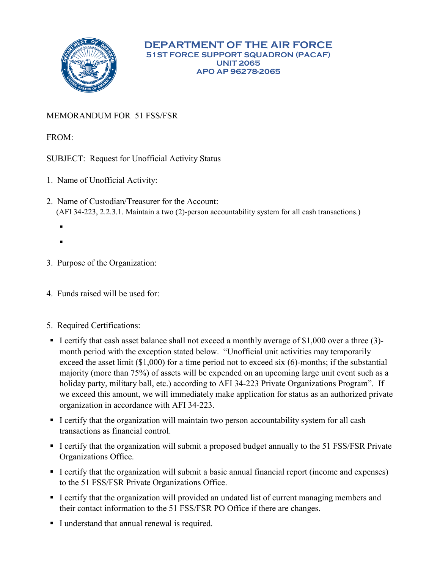

## MEMORANDUM FOR 51 FSS/FSR

FROM:

SUBJECT: Request for Unofficial Activity Status

- 1. Name of Unofficial Activity:
- 2. Name of Custodian/Treasurer for the Account: (AFI 34-223, 2.2.3.1. Maintain a two (2)-person accountability system for all cash transactions.)
	- .
	- .
- 3. Purpose of the Organization:
- 4. Funds raised will be used for:
- 5. Required Certifications:
- I certify that cash asset balance shall not exceed a monthly average of \$1,000 over a three  $(3)$ month period with the exception stated below. "Unofficial unit activities may temporarily exceed the asset limit (\$1,000) for a time period not to exceed six (6)-months; if the substantial majority (more than 75%) of assets will be expended on an upcoming large unit event such as a holiday party, military ball, etc.) according to AFI 34-223 Private Organizations Program". If we exceed this amount, we will immediately make application for status as an authorized private organization in accordance with AFI 34-223.
- I certify that the organization will maintain two person accountability system for all cash transactions as financial control.
- I certify that the organization will submit a proposed budget annually to the 51 FSS/FSR Private Organizations Office.
- I certify that the organization will submit a basic annual financial report (income and expenses) to the 51 FSS/FSR Private Organizations Office.
- I certify that the organization will provided an undated list of current managing members and their contact information to the 51 FSS/FSR PO Office if there are changes.
- I understand that annual renewal is required.